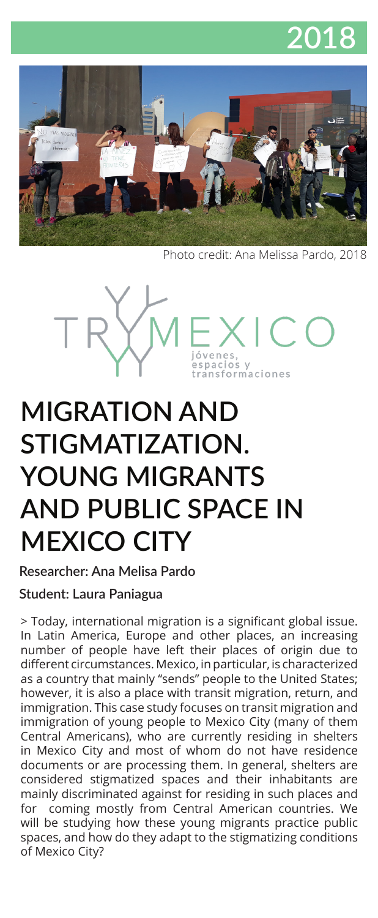



Photo credit: Ana Melissa Pardo, 2018



# **MIGRATION AND STIGMATIZATION. YOUNG MIGRANTS AND PUBLIC SPACE IN MEXICO CITY**

**Researcher: Ana Melisa Pardo** 

#### **Student: Laura Paniagua**

> Today, international migration is a significant global issue. In Latin America, Europe and other places, an increasing number of people have left their places of origin due to different circumstances. Mexico, in particular, is characterized as a country that mainly "sends" people to the United States; however, it is also a place with transit migration, return, and immigration. This case study focuses on transit migration and immigration of young people to Mexico City (many of them Central Americans), who are currently residing in shelters in Mexico City and most of whom do not have residence documents or are processing them. In general, shelters are considered stigmatized spaces and their inhabitants are mainly discriminated against for residing in such places and for coming mostly from Central American countries. We will be studying how these young migrants practice public spaces, and how do they adapt to the stigmatizing conditions of Mexico City?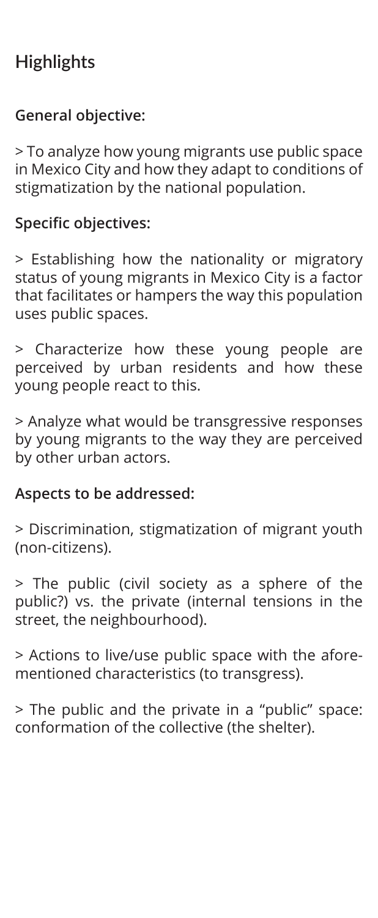## **Highlights**

#### **General objective:**

> To analyze how young migrants use public space in Mexico City and how they adapt to conditions of stigmatization by the national population.

#### **Specific objectives:**

> Establishing how the nationality or migratory status of young migrants in Mexico City is a factor that facilitates or hampers the way this population uses public spaces.

> Characterize how these young people are perceived by urban residents and how these young people react to this.

> Analyze what would be transgressive responses by young migrants to the way they are perceived by other urban actors.

#### **Aspects to be addressed:**

> Discrimination, stigmatization of migrant youth (non-citizens).

> The public (civil society as a sphere of the public?) vs. the private (internal tensions in the street, the neighbourhood).

> Actions to live/use public space with the aforementioned characteristics (to transgress).

> The public and the private in a "public" space: conformation of the collective (the shelter).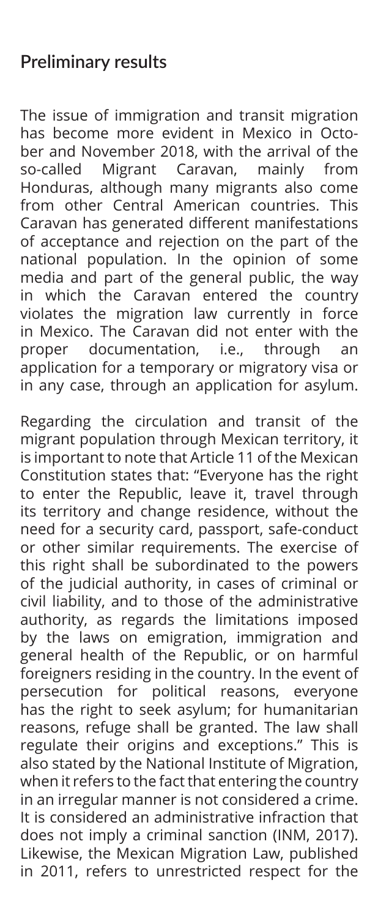#### **Preliminary results**

The issue of immigration and transit migration has become more evident in Mexico in October and November 2018, with the arrival of the so-called Migrant Caravan, mainly from Honduras, although many migrants also come from other Central American countries. This Caravan has generated different manifestations of acceptance and rejection on the part of the national population. In the opinion of some media and part of the general public, the way in which the Caravan entered the country violates the migration law currently in force in Mexico. The Caravan did not enter with the proper documentation, i.e., through an application for a temporary or migratory visa or in any case, through an application for asylum.

Regarding the circulation and transit of the migrant population through Mexican territory, it is important to note that Article 11 of the Mexican Constitution states that: "Everyone has the right to enter the Republic, leave it, travel through its territory and change residence, without the need for a security card, passport, safe-conduct or other similar requirements. The exercise of this right shall be subordinated to the powers of the judicial authority, in cases of criminal or civil liability, and to those of the administrative authority, as regards the limitations imposed by the laws on emigration, immigration and general health of the Republic, or on harmful foreigners residing in the country. In the event of persecution for political reasons, everyone has the right to seek asylum; for humanitarian reasons, refuge shall be granted. The law shall regulate their origins and exceptions." This is also stated by the National Institute of Migration, when it refers to the fact that entering the country in an irregular manner is not considered a crime. It is considered an administrative infraction that does not imply a criminal sanction (INM, 2017). Likewise, the Mexican Migration Law, published in 2011, refers to unrestricted respect for the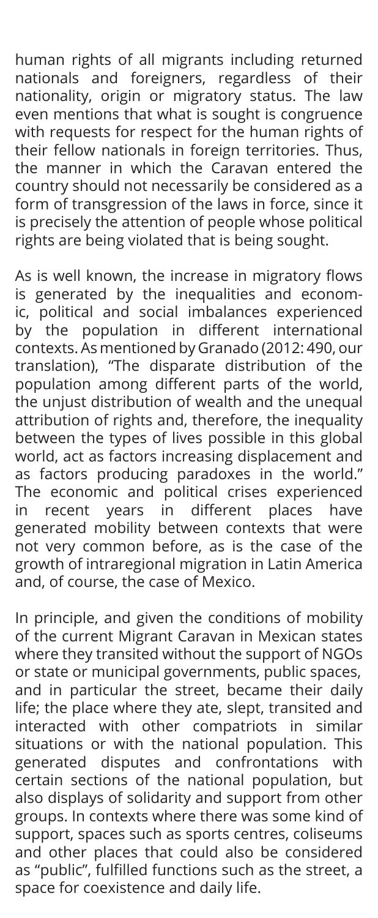human rights of all migrants including returned nationals and foreigners, regardless of their nationality, origin or migratory status. The law even mentions that what is sought is congruence with requests for respect for the human rights of their fellow nationals in foreign territories. Thus, the manner in which the Caravan entered the country should not necessarily be considered as a form of transgression of the laws in force, since it is precisely the attention of people whose political rights are being violated that is being sought.

As is well known, the increase in migratory flows is generated by the inequalities and economic, political and social imbalances experienced by the population in different international contexts. As mentioned by Granado (2012: 490, our translation), "The disparate distribution of the population among different parts of the world, the unjust distribution of wealth and the unequal attribution of rights and, therefore, the inequality between the types of lives possible in this global world, act as factors increasing displacement and as factors producing paradoxes in the world." The economic and political crises experienced in recent years in different places have generated mobility between contexts that were not very common before, as is the case of the growth of intraregional migration in Latin America and, of course, the case of Mexico.

In principle, and given the conditions of mobility of the current Migrant Caravan in Mexican states where they transited without the support of NGOs or state or municipal governments, public spaces, and in particular the street, became their daily life; the place where they ate, slept, transited and interacted with other compatriots in similar situations or with the national population. This generated disputes and confrontations with certain sections of the national population, but also displays of solidarity and support from other groups. In contexts where there was some kind of support, spaces such as sports centres, coliseums and other places that could also be considered as "public", fulfilled functions such as the street, a space for coexistence and daily life.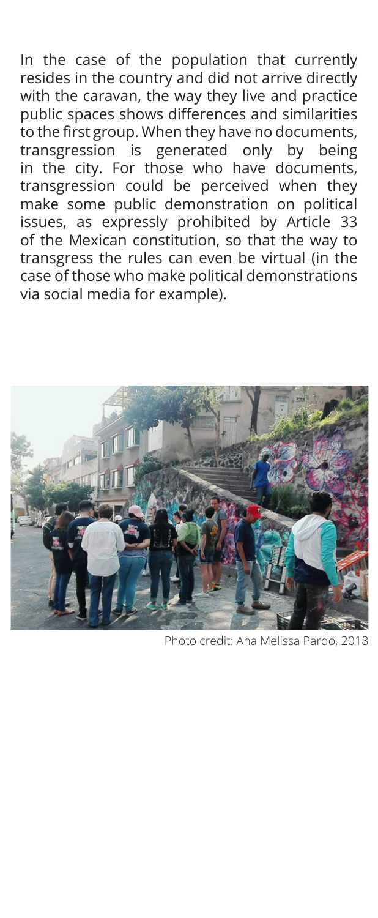In the case of the population that currently resides in the country and did not arrive directly with the caravan, the way they live and practice public spaces shows differences and similarities to the first group. When they have no documents, transgression is generated only by being in the city. For those who have documents, transgression could be perceived when they make some public demonstration on political issues, as expressly prohibited by Article 33 of the Mexican constitution, so that the way to transgress the rules can even be virtual (in the case of those who make political demonstrations via social media for example).



Photo credit: Ana Melissa Pardo, 2018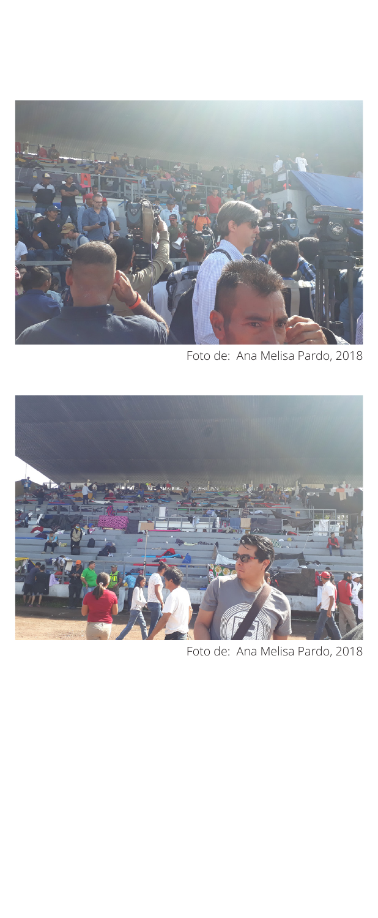

Foto de: Ana Melisa Pardo, 2018



Foto de: Ana Melisa Pardo, 2018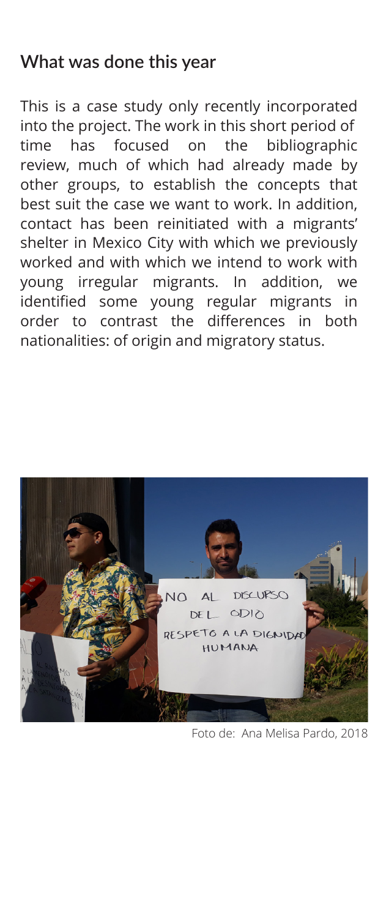#### **What was done this year**

This is a case study only recently incorporated into the project. The work in this short period of time has focused on the bibliographic review, much of which had already made by other groups, to establish the concepts that best suit the case we want to work. In addition, contact has been reinitiated with a migrants' shelter in Mexico City with which we previously worked and with which we intend to work with young irregular migrants. In addition, we identified some young regular migrants in order to contrast the differences in both nationalities: of origin and migratory status.



Foto de: Ana Melisa Pardo, 2018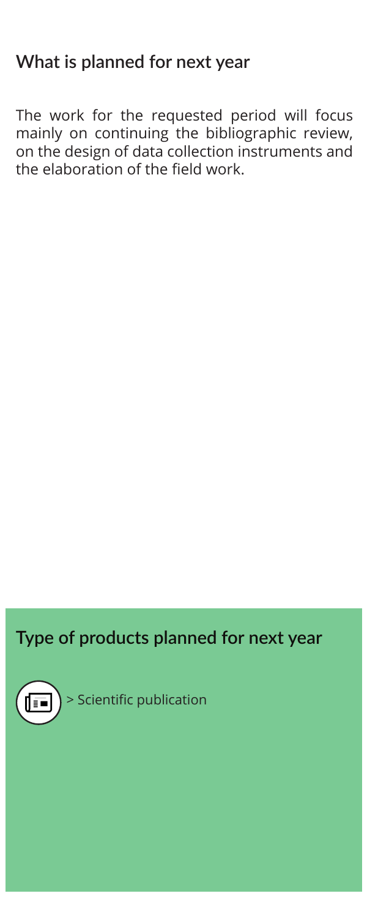### **What is planned for next year**

The work for the requested period will focus mainly on continuing the bibliographic review, on the design of data collection instruments and the elaboration of the field work.

#### **Type of products planned for next year**